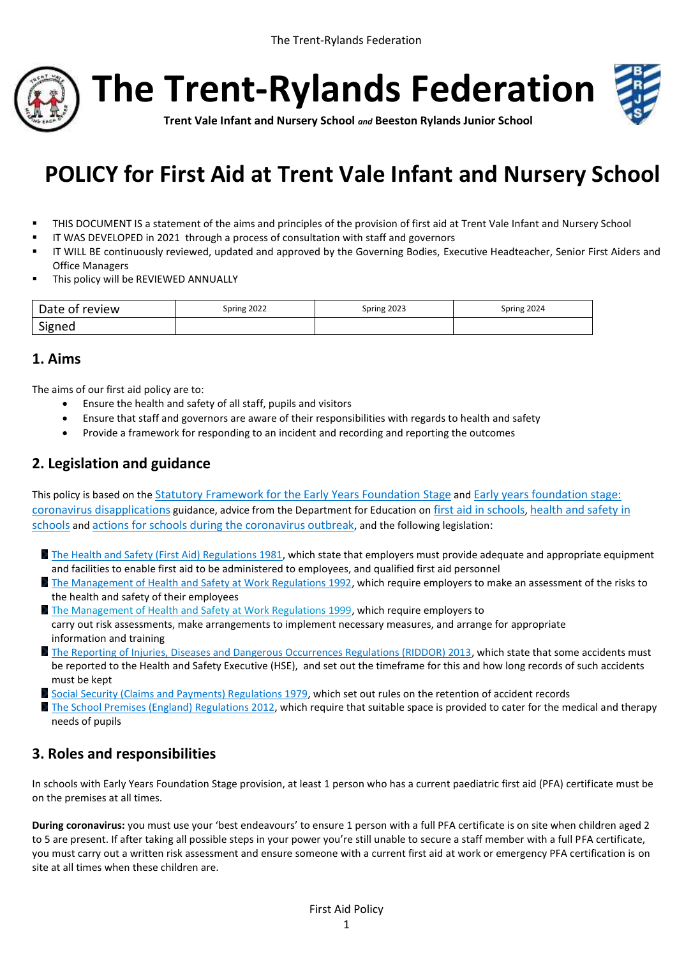



**Trent Vale Infant and Nursery School** *and* **Beeston Rylands Junior School**

# **POLICY for First Aid at Trent Vale Infant and Nursery School**

- THIS DOCUMENT IS a statement of the aims and principles of the provision of first aid at Trent Vale Infant and Nursery School
- IT WAS DEVELOPED in 2021 through a process of consultation with staff and governors
- IT WILL BE continuously reviewed, updated and approved by the Governing Bodies, Executive Headteacher, Senior First Aiders and Office Managers
- This policy will be REVIEWED ANNUALLY

| Date of review | Spring 2022 | Spring 2023 | Spring 2024 |
|----------------|-------------|-------------|-------------|
| Signed         |             |             |             |

## **1. Aims**

The aims of our first aid policy are to:

- Ensure the health and safety of all staff, pupils and visitors
- Ensure that staff and governors are aware of their responsibilities with regards to health and safety
- Provide a framework for responding to an incident and recording and reporting the outcomes

# **2. Legislation and guidance**

This policy is based on the [Statutory Framework for the Early Years Foundation Stage](https://www.gov.uk/government/publications/early-years-foundation-stage-framework--2) and [Early years foundation stage:](https://www.gov.uk/government/publications/early-years-foundation-stage-framework--2/early-years-foundation-stage-coronavirus-disapplications)  [coronavirus disapplications](https://www.gov.uk/government/publications/early-years-foundation-stage-framework--2/early-years-foundation-stage-coronavirus-disapplications) guidance, advice from the Department for Education on [first aid in schools](https://www.gov.uk/government/publications/first-aid-in-schools), [health and safety in](https://www.gov.uk/government/publications/health-and-safety-advice-for-schools)  [schools](https://www.gov.uk/government/publications/health-and-safety-advice-for-schools) and [actions for schools during the coronavirus outbreak](https://www.gov.uk/government/publications/actions-for-schools-during-the-coronavirus-outbreak), and the following legislation:

- [The Health and Safety \(First Aid\) Regulations 1981,](http://www.legislation.gov.uk/uksi/1981/917/regulation/3/made) which state that employers must provide adequate and appropriate equipment and facilities to enable first aid to be administered to employees, and qualified first aid personnel
- [The Management of Health and Safety at Work Regulations 1992,](http://www.legislation.gov.uk/uksi/1992/2051/regulation/3/made) which require employers to make an assessment of the risks to the health and safety of their employees
- [The Management of Health and Safety at Work Regulations 1999,](http://www.legislation.gov.uk/uksi/1999/3242/contents/made) which require employers to carry out risk assessments, make arrangements to implement necessary measures, and arrange for appropriate information and training
- [The Reporting of Injuries, Diseases and Dangerous Occurrences Regulations \(RIDDOR\) 2013,](http://www.legislation.gov.uk/uksi/2013/1471/schedule/1/paragraph/1/made) which state that some accidents must be reported to the Health and Safety Executive (HSE), and set out the timeframe for this and how long records of such accidents must be kept
- [Social Security \(Claims and Payments\) Regulations 1979,](http://www.legislation.gov.uk/uksi/1979/628) which set out rules on the retention of accident records
- [The School Premises \(England\) Regulations 2012,](http://www.legislation.gov.uk/uksi/2012/1943/regulation/5/made) which require that suitable space is provided to cater for the medical and therapy needs of pupils

# **3. Roles and responsibilities**

In schools with Early Years Foundation Stage provision, at least 1 person who has a current paediatric first aid (PFA) certificate must be on the premises at all times.

**During coronavirus:** you must use your 'best endeavours' to ensure 1 person with a full PFA certificate is on site when children aged 2 to 5 are present. If after taking all possible steps in your power you're still unable to secure a staff member with a full PFA certificate, you must carry out a written risk assessment and ensure someone with a current first aid at work or emergency PFA certification is on site at all times when these children are.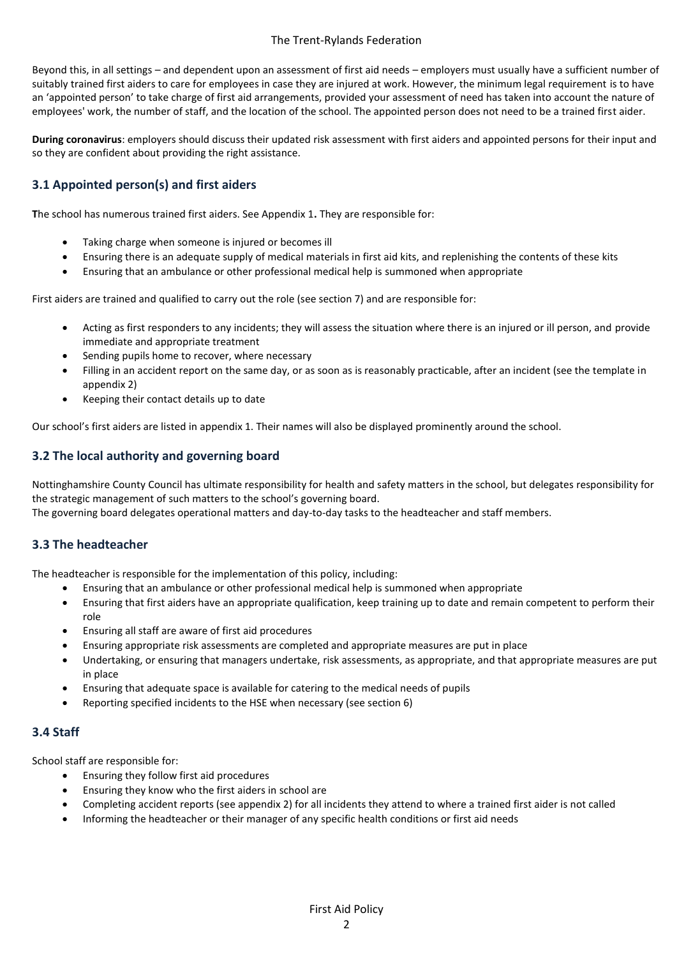Beyond this, in all settings – and dependent upon an assessment of first aid needs – employers must usually have a sufficient number of suitably trained first aiders to care for employees in case they are injured at work. However, the minimum legal requirement is to have an 'appointed person' to take charge of first aid arrangements, provided your assessment of need has taken into account the nature of employees' work, the number of staff, and the location of the school. The appointed person does not need to be a trained first aider.

**During coronavirus**: employers should discuss their updated risk assessment with first aiders and appointed persons for their input and so they are confident about providing the right assistance.

## **3.1 Appointed person(s) and first aiders**

**T**he school has numerous trained first aiders. See Appendix 1**.** They are responsible for:

- Taking charge when someone is injured or becomes ill
- Ensuring there is an adequate supply of medical materials in first aid kits, and replenishing the contents of these kits
- Ensuring that an ambulance or other professional medical help is summoned when appropriate

First aiders are trained and qualified to carry out the role (see section 7) and are responsible for:

- Acting as first responders to any incidents; they will assess the situation where there is an injured or ill person, and provide immediate and appropriate treatment
- Sending pupils home to recover, where necessary
- Filling in an accident report on the same day, or as soon as is reasonably practicable, after an incident (see the template in appendix 2)
- Keeping their contact details up to date

Our school's first aiders are listed in appendix 1. Their names will also be displayed prominently around the school.

### **3.2 The local authority and governing board**

Nottinghamshire County Council has ultimate responsibility for health and safety matters in the school, but delegates responsibility for the strategic management of such matters to the school's governing board.

The governing board delegates operational matters and day-to-day tasks to the headteacher and staff members.

### **3.3 The headteacher**

The headteacher is responsible for the implementation of this policy, including:

- Ensuring that an ambulance or other professional medical help is summoned when appropriate
- Ensuring that first aiders have an appropriate qualification, keep training up to date and remain competent to perform their role
- Ensuring all staff are aware of first aid procedures
- Ensuring appropriate risk assessments are completed and appropriate measures are put in place
- Undertaking, or ensuring that managers undertake, risk assessments, as appropriate, and that appropriate measures are put in place
- Ensuring that adequate space is available for catering to the medical needs of pupils
- Reporting specified incidents to the HSE when necessary (see section 6)

#### **3.4 Staff**

School staff are responsible for:

- Ensuring they follow first aid procedures
- Ensuring they know who the first aiders in school are
- Completing accident reports (see appendix 2) for all incidents they attend to where a trained first aider is not called
- Informing the headteacher or their manager of any specific health conditions or first aid needs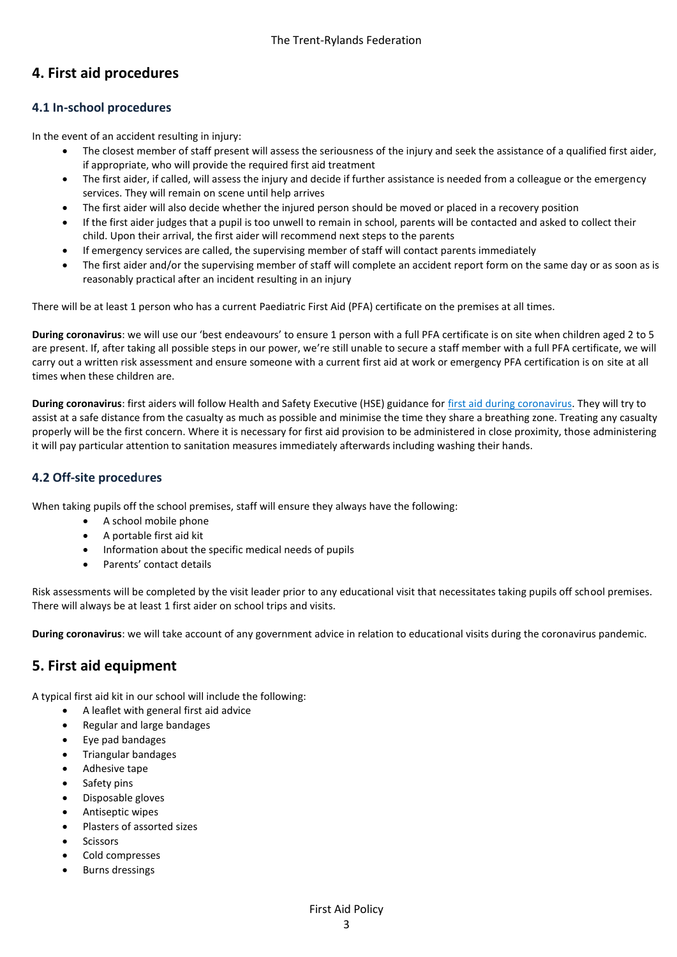# **4. First aid procedures**

## **4.1 In-school procedures**

In the event of an accident resulting in injury:

- The closest member of staff present will assess the seriousness of the injury and seek the assistance of a qualified first aider, if appropriate, who will provide the required first aid treatment
- The first aider, if called, will assess the injury and decide if further assistance is needed from a colleague or the emergency services. They will remain on scene until help arrives
- The first aider will also decide whether the injured person should be moved or placed in a recovery position
- If the first aider judges that a pupil is too unwell to remain in school, parents will be contacted and asked to collect their child. Upon their arrival, the first aider will recommend next steps to the parents
- If emergency services are called, the supervising member of staff will contact parents immediately
- The first aider and/or the supervising member of staff will complete an accident report form on the same day or as soon as is reasonably practical after an incident resulting in an injury

There will be at least 1 person who has a current Paediatric First Aid (PFA) certificate on the premises at all times.

**During coronavirus**: we will use our 'best endeavours' to ensure 1 person with a full PFA certificate is on site when children aged 2 to 5 are present. If, after taking all possible steps in our power, we're still unable to secure a staff member with a full PFA certificate, we will carry out a written risk assessment and ensure someone with a current first aid at work or emergency PFA certification is on site at all times when these children are.

**During coronavirus**: first aiders will follow Health and Safety Executive (HSE) guidance for [first aid during coronavirus.](https://www.hse.gov.uk/coronavirus/first-aid-and-medicals/first-aid-certificate-coronavirus.htm) They will try to assist at a safe distance from the casualty as much as possible and minimise the time they share a breathing zone. Treating any casualty properly will be the first concern. Where it is necessary for first aid provision to be administered in close proximity, those administering it will pay particular attention to sanitation measures immediately afterwards including washing their hands.

## **4.2 Off-site proced**u**res**

When taking pupils off the school premises, staff will ensure they always have the following:

- A school mobile phone
- A portable first aid kit
- Information about the specific medical needs of pupils
- Parents' contact details

Risk assessments will be completed by the visit leader prior to any educational visit that necessitates taking pupils off school premises. There will always be at least 1 first aider on school trips and visits.

**During coronavirus**: we will take account of any government advice in relation to educational visits during the coronavirus pandemic.

## **5. First aid equipment**

A typical first aid kit in our school will include the following:

- A leaflet with general first aid advice
- Regular and large bandages
- Eye pad bandages
- Triangular bandages
- Adhesive tape
- Safety pins
- Disposable gloves
- Antiseptic wipes
- Plasters of assorted sizes
- Scissors
- Cold compresses
- Burns dressings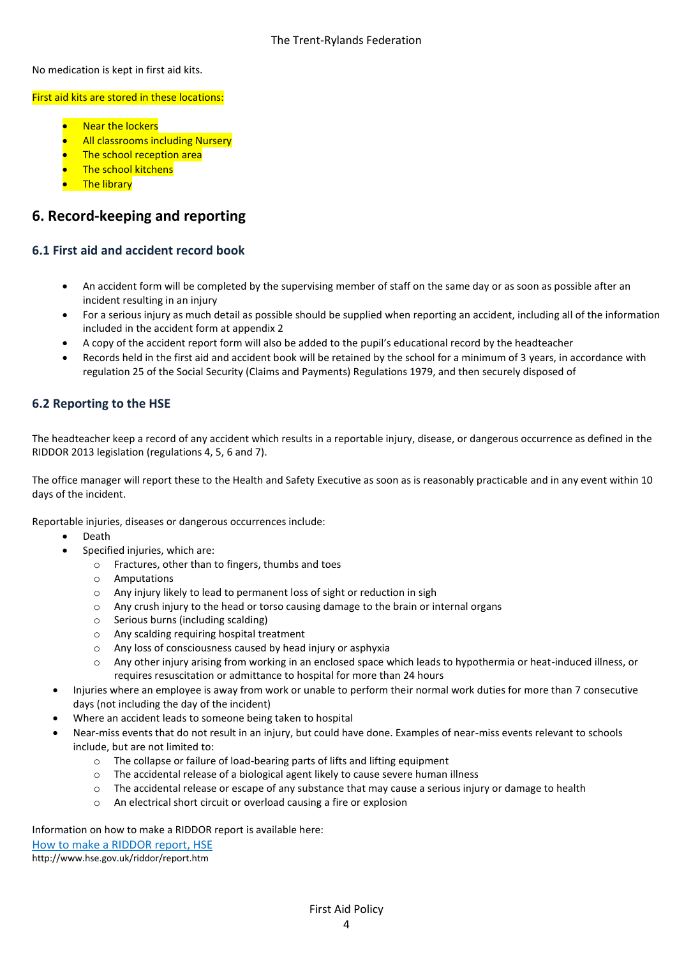No medication is kept in first aid kits.

#### First aid kits are stored in these locations:

- Near the lockers
- All classrooms including Nursery
- The school reception area
- **The school kitchens**
- The library

## **6. Record-keeping and reporting**

### **6.1 First aid and accident record book**

- An accident form will be completed by the supervising member of staff on the same day or as soon as possible after an incident resulting in an injury
- For a serious injury as much detail as possible should be supplied when reporting an accident, including all of the information included in the accident form at appendix 2
- A copy of the accident report form will also be added to the pupil's educational record by the headteacher
- Records held in the first aid and accident book will be retained by the school for a minimum of 3 years, in accordance with regulation 25 of the Social Security (Claims and Payments) Regulations 1979, and then securely disposed of

## **6.2 Reporting to the HSE**

The headteacher keep a record of any accident which results in a reportable injury, disease, or dangerous occurrence as defined in the RIDDOR 2013 legislation (regulations 4, 5, 6 and 7).

The office manager will report these to the Health and Safety Executive as soon as is reasonably practicable and in any event within 10 days of the incident.

Reportable injuries, diseases or dangerous occurrences include:

- Death
	- Specified injuries, which are:
		- o Fractures, other than to fingers, thumbs and toes
		- o Amputations
		- o Any injury likely to lead to permanent loss of sight or reduction in sigh
		- o Any crush injury to the head or torso causing damage to the brain or internal organs
		- o Serious burns (including scalding)
		- o Any scalding requiring hospital treatment
		- o Any loss of consciousness caused by head injury or asphyxia
		- o Any other injury arising from working in an enclosed space which leads to hypothermia or heat-induced illness, or requires resuscitation or admittance to hospital for more than 24 hours
- Injuries where an employee is away from work or unable to perform their normal work duties for more than 7 consecutive days (not including the day of the incident)
- Where an accident leads to someone being taken to hospital
- Near-miss events that do not result in an injury, but could have done. Examples of near-miss events relevant to schools include, but are not limited to:
	- o The collapse or failure of load-bearing parts of lifts and lifting equipment
	- $\circ$  The accidental release of a biological agent likely to cause severe human illness
	- o The accidental release or escape of any substance that may cause a serious injury or damage to health
	- o An electrical short circuit or overload causing a fire or explosion

Information on how to make a RIDDOR report is available here:

How to make [a RIDDOR report, HSE](http://www.hse.gov.uk/riddor/report.htm) http://www.hse.gov.uk/riddor/report.htm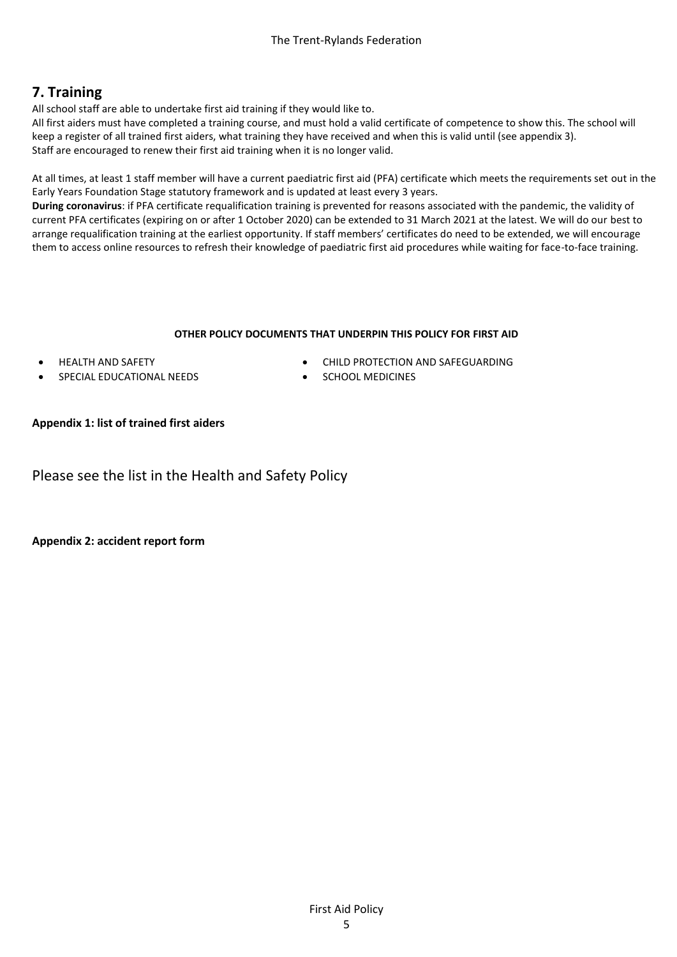# **7. Training**

All school staff are able to undertake first aid training if they would like to.

All first aiders must have completed a training course, and must hold a valid certificate of competence to show this. The school will keep a register of all trained first aiders, what training they have received and when this is valid until (see appendix 3). Staff are encouraged to renew their first aid training when it is no longer valid.

At all times, at least 1 staff member will have a current paediatric first aid (PFA) certificate which meets the requirements set out in the Early Years Foundation Stage statutory framework and is updated at least every 3 years.

**During coronavirus**: if PFA certificate requalification training is prevented for reasons associated with the pandemic, the validity of current PFA certificates (expiring on or after 1 October 2020) can be extended to 31 March 2021 at the latest. We will do our best to arrange requalification training at the earliest opportunity. If staff members' certificates do need to be extended, we will encourage them to access online resources to refresh their knowledge of paediatric first aid procedures while waiting for face-to-face training.

#### **OTHER POLICY DOCUMENTS THAT UNDERPIN THIS POLICY FOR FIRST AID**

- HEALTH AND SAFETY
- SPECIAL EDUCATIONAL NEEDS
- CHILD PROTECTION AND SAFEGUARDING
- **SCHOOL MEDICINES**

#### **Appendix 1: list of trained first aiders**

Please see the list in the Health and Safety Policy

**Appendix 2: accident report form**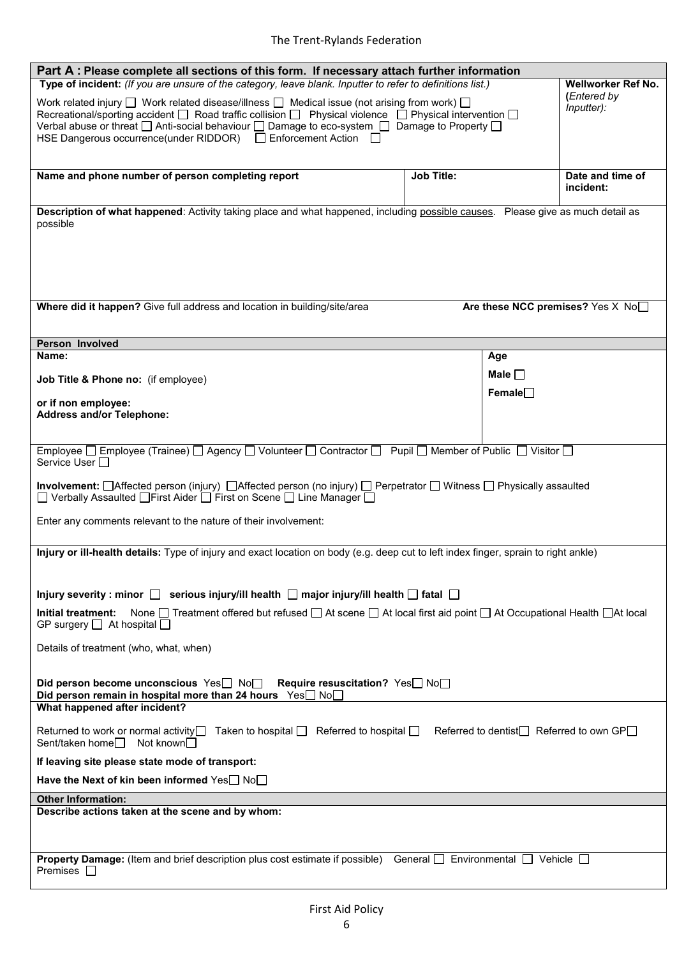| Part A: Please complete all sections of this form. If necessary attach further information                                                                    |                   |                                          |  |  |
|---------------------------------------------------------------------------------------------------------------------------------------------------------------|-------------------|------------------------------------------|--|--|
| Type of incident: (If you are unsure of the category, leave blank. Inputter to refer to definitions list.)                                                    |                   | <b>Wellworker Ref No.</b>                |  |  |
| Work related injury $\square$ Work related disease/illness $\square$ Medical issue (not arising from work) $\square$                                          | (Entered by       |                                          |  |  |
| Inputter):<br>Recreational/sporting accident $\Box$ Road traffic collision $\Box$ Physical violence $\Box$ Physical intervention $\Box$                       |                   |                                          |  |  |
| Verbal abuse or threat $\square$ Anti-social behaviour $\square$ Damage to eco-system $\square$ Damage to Property $\square$                                  |                   |                                          |  |  |
| HSE Dangerous occurrence(under RIDDOR) □ Enforcement Action □                                                                                                 |                   |                                          |  |  |
|                                                                                                                                                               |                   |                                          |  |  |
|                                                                                                                                                               |                   |                                          |  |  |
| Name and phone number of person completing report                                                                                                             | <b>Job Title:</b> | Date and time of                         |  |  |
|                                                                                                                                                               |                   | incident:                                |  |  |
| Description of what happened: Activity taking place and what happened, including possible causes. Please give as much detail as                               |                   |                                          |  |  |
| possible                                                                                                                                                      |                   |                                          |  |  |
|                                                                                                                                                               |                   |                                          |  |  |
|                                                                                                                                                               |                   |                                          |  |  |
|                                                                                                                                                               |                   |                                          |  |  |
|                                                                                                                                                               |                   |                                          |  |  |
|                                                                                                                                                               |                   |                                          |  |  |
| Where did it happen? Give full address and location in building/site/area                                                                                     |                   | Are these NCC premises? Yes X No         |  |  |
|                                                                                                                                                               |                   |                                          |  |  |
|                                                                                                                                                               |                   |                                          |  |  |
| Person Involved                                                                                                                                               |                   |                                          |  |  |
| Name:                                                                                                                                                         | Age               |                                          |  |  |
|                                                                                                                                                               |                   |                                          |  |  |
| Job Title & Phone no: (if employee)                                                                                                                           |                   | Male $\square$                           |  |  |
|                                                                                                                                                               | Female            |                                          |  |  |
| or if non employee:<br><b>Address and/or Telephone:</b>                                                                                                       |                   |                                          |  |  |
|                                                                                                                                                               |                   |                                          |  |  |
|                                                                                                                                                               |                   |                                          |  |  |
| Employee □ Employee (Trainee) □ Agency □ Volunteer □ Contractor □ Pupil □ Member of Public □ Visitor □                                                        |                   |                                          |  |  |
| Service User □                                                                                                                                                |                   |                                          |  |  |
|                                                                                                                                                               |                   |                                          |  |  |
| Involvement: □Affected person (injury) □Affected person (no injury) □ Perpetrator □ Witness □ Physically assaulted                                            |                   |                                          |  |  |
| □ Verbally Assaulted □ First Aider □ First on Scene □ Line Manager □                                                                                          |                   |                                          |  |  |
| Enter any comments relevant to the nature of their involvement:                                                                                               |                   |                                          |  |  |
|                                                                                                                                                               |                   |                                          |  |  |
|                                                                                                                                                               |                   |                                          |  |  |
| Injury or ill-health details: Type of injury and exact location on body (e.g. deep cut to left index finger, sprain to right ankle)                           |                   |                                          |  |  |
|                                                                                                                                                               |                   |                                          |  |  |
|                                                                                                                                                               |                   |                                          |  |  |
| Injury severity : minor $\Box$ serious injury/ill health $\Box$ major injury/ill health $\Box$ fatal $\Box$                                                   |                   |                                          |  |  |
| None $\Box$ Treatment offered but refused $\Box$ At scene $\Box$ At local first aid point $\Box$ At Occupational Health $\Box$ At local<br>Initial treatment: |                   |                                          |  |  |
| GP surgery $\Box$ At hospital $\Box$                                                                                                                          |                   |                                          |  |  |
|                                                                                                                                                               |                   |                                          |  |  |
| Details of treatment (who, what, when)                                                                                                                        |                   |                                          |  |  |
|                                                                                                                                                               |                   |                                          |  |  |
| Did person become unconscious $\text{Yes} \square \text{ No} \square$ Require resuscitation? Yes $\square \text{ No} \square$                                 |                   |                                          |  |  |
| Did person remain in hospital more than 24 hours Yes No                                                                                                       |                   |                                          |  |  |
| What happened after incident?                                                                                                                                 |                   |                                          |  |  |
|                                                                                                                                                               |                   |                                          |  |  |
| Returned to work or normal activity<br>□ Taken to hospital □ Referred to hospital □ Referred to hospital □                                                    |                   | Referred to dentist□ Referred to own GP□ |  |  |
| Sent/taken home <sub>□</sub><br>Not known                                                                                                                     |                   |                                          |  |  |
| If leaving site please state mode of transport:                                                                                                               |                   |                                          |  |  |
|                                                                                                                                                               |                   |                                          |  |  |
| Have the Next of kin been informed Yes□ No□                                                                                                                   |                   |                                          |  |  |
| <b>Other Information:</b>                                                                                                                                     |                   |                                          |  |  |
| Describe actions taken at the scene and by whom:                                                                                                              |                   |                                          |  |  |
|                                                                                                                                                               |                   |                                          |  |  |
|                                                                                                                                                               |                   |                                          |  |  |
|                                                                                                                                                               |                   |                                          |  |  |
| <b>Property Damage:</b> (Item and brief description plus cost estimate if possible) General $\Box$ Environmental $\Box$ Vehicle $\Box$<br>Premises $\square$  |                   |                                          |  |  |
|                                                                                                                                                               |                   |                                          |  |  |
|                                                                                                                                                               |                   |                                          |  |  |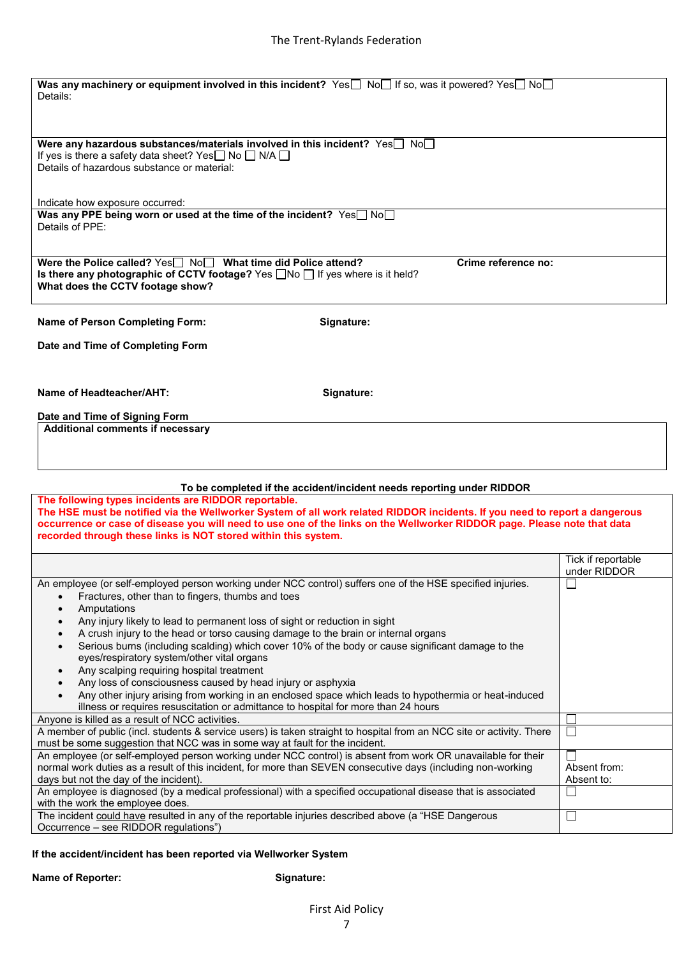| Was any machinery or equipment involved in this incident? Yes No If so, was it powered? Yes No<br>Details:<br>Were any hazardous substances/materials involved in this incident? $Yes \Box No \Box$<br>If yes is there a safety data sheet? Yes $\square$ No $\square$ N/A $\square$<br>Details of hazardous substance or material:<br>Indicate how exposure occurred:<br>Was any PPE being worn or used at the time of the incident? Yes <sup>non</sup><br>Details of PPE:<br>Crime reference no:<br>Were the Police called? Yes Now What time did Police attend? |  |
|--------------------------------------------------------------------------------------------------------------------------------------------------------------------------------------------------------------------------------------------------------------------------------------------------------------------------------------------------------------------------------------------------------------------------------------------------------------------------------------------------------------------------------------------------------------------|--|
|                                                                                                                                                                                                                                                                                                                                                                                                                                                                                                                                                                    |  |
|                                                                                                                                                                                                                                                                                                                                                                                                                                                                                                                                                                    |  |
|                                                                                                                                                                                                                                                                                                                                                                                                                                                                                                                                                                    |  |
|                                                                                                                                                                                                                                                                                                                                                                                                                                                                                                                                                                    |  |
|                                                                                                                                                                                                                                                                                                                                                                                                                                                                                                                                                                    |  |
|                                                                                                                                                                                                                                                                                                                                                                                                                                                                                                                                                                    |  |
| Is there any photographic of CCTV footage? Yes $\Box$ No $\Box$ If yes where is it held?<br>What does the CCTV footage show?                                                                                                                                                                                                                                                                                                                                                                                                                                       |  |
| <b>Name of Person Completing Form:</b><br>Signature:                                                                                                                                                                                                                                                                                                                                                                                                                                                                                                               |  |
| Date and Time of Completing Form                                                                                                                                                                                                                                                                                                                                                                                                                                                                                                                                   |  |
|                                                                                                                                                                                                                                                                                                                                                                                                                                                                                                                                                                    |  |
| Name of Headteacher/AHT:<br>Signature:                                                                                                                                                                                                                                                                                                                                                                                                                                                                                                                             |  |
| Date and Time of Signing Form                                                                                                                                                                                                                                                                                                                                                                                                                                                                                                                                      |  |
| <b>Additional comments if necessary</b>                                                                                                                                                                                                                                                                                                                                                                                                                                                                                                                            |  |
|                                                                                                                                                                                                                                                                                                                                                                                                                                                                                                                                                                    |  |
|                                                                                                                                                                                                                                                                                                                                                                                                                                                                                                                                                                    |  |
| To be completed if the accident/incident needs reporting under RIDDOR                                                                                                                                                                                                                                                                                                                                                                                                                                                                                              |  |
| The following types incidents are RIDDOR reportable.<br>The HSE must be notified via the Wellworker System of all work related RIDDOR incidents. If you need to report a dangerous<br>occurrence or case of disease you will need to use one of the links on the Wellworker RIDDOR page. Please note that data<br>recorded through these links is NOT stored within this system.                                                                                                                                                                                   |  |
| Tick if reportable                                                                                                                                                                                                                                                                                                                                                                                                                                                                                                                                                 |  |
| under RIDDOR                                                                                                                                                                                                                                                                                                                                                                                                                                                                                                                                                       |  |
| An employee (or self-employed person working under NCC control) suffers one of the HSE specified injuries.<br>$\Box$<br>Fractures, other than to fingers, thumbs and toes                                                                                                                                                                                                                                                                                                                                                                                          |  |
| Amputations<br>$\bullet$<br>Any injury likely to lead to permanent loss of sight or reduction in sight<br>$\bullet$                                                                                                                                                                                                                                                                                                                                                                                                                                                |  |
|                                                                                                                                                                                                                                                                                                                                                                                                                                                                                                                                                                    |  |
| A crush injury to the head or torso causing damage to the brain or internal organs<br>$\bullet$                                                                                                                                                                                                                                                                                                                                                                                                                                                                    |  |
| Serious burns (including scalding) which cover 10% of the body or cause significant damage to the<br>$\bullet$                                                                                                                                                                                                                                                                                                                                                                                                                                                     |  |
| eyes/respiratory system/other vital organs<br>$\bullet$                                                                                                                                                                                                                                                                                                                                                                                                                                                                                                            |  |
| Any scalping requiring hospital treatment<br>Any loss of consciousness caused by head injury or asphyxia<br>$\bullet$                                                                                                                                                                                                                                                                                                                                                                                                                                              |  |
| Any other injury arising from working in an enclosed space which leads to hypothermia or heat-induced<br>$\bullet$                                                                                                                                                                                                                                                                                                                                                                                                                                                 |  |
| illness or requires resuscitation or admittance to hospital for more than 24 hours<br>Anyone is killed as a result of NCC activities.                                                                                                                                                                                                                                                                                                                                                                                                                              |  |
| A member of public (incl. students & service users) is taken straight to hospital from an NCC site or activity. There<br>$\sim$<br>must be some suggestion that NCC was in some way at fault for the incident.                                                                                                                                                                                                                                                                                                                                                     |  |
| An employee (or self-employed person working under NCC control) is absent from work OR unavailable for their                                                                                                                                                                                                                                                                                                                                                                                                                                                       |  |
| normal work duties as a result of this incident, for more than SEVEN consecutive days (including non-working<br>Absent from:<br>days but not the day of the incident).<br>Absent to:                                                                                                                                                                                                                                                                                                                                                                               |  |
| An employee is diagnosed (by a medical professional) with a specified occupational disease that is associated<br>ப<br>with the work the employee does.                                                                                                                                                                                                                                                                                                                                                                                                             |  |

## **If the accident/incident has been reported via Wellworker System**

**Name of Reporter: Name of Reporter: Signature:**